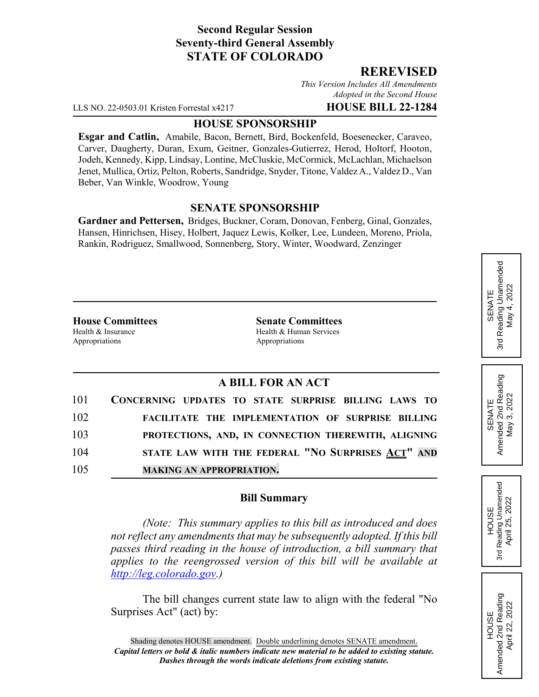# **Second Regular Session Seventy-third General Assembly STATE OF COLORADO**

## **REREVISED**

*This Version Includes All Amendments Adopted in the Second House*

LLS NO. 22-0503.01 Kristen Forrestal x4217 **HOUSE BILL 22-1284**

### **HOUSE SPONSORSHIP**

**Esgar and Catlin,** Amabile, Bacon, Bernett, Bird, Bockenfeld, Boesenecker, Caraveo, Carver, Daugherty, Duran, Exum, Geitner, Gonzales-Gutierrez, Herod, Holtorf, Hooton, Jodeh, Kennedy, Kipp, Lindsay, Lontine, McCluskie, McCormick, McLachlan, Michaelson Jenet, Mullica, Ortiz, Pelton, Roberts, Sandridge, Snyder, Titone, Valdez A., Valdez D., Van Beber, Van Winkle, Woodrow, Young

### **SENATE SPONSORSHIP**

**Gardner and Pettersen,** Bridges, Buckner, Coram, Donovan, Fenberg, Ginal, Gonzales, Hansen, Hinrichsen, Hisey, Holbert, Jaquez Lewis, Kolker, Lee, Lundeen, Moreno, Priola, Rankin, Rodriguez, Smallwood, Sonnenberg, Story, Winter, Woodward, Zenzinger

Appropriations Appropriations

**House Committees Senate Committees** Health & Insurance Health & Human Services

## **A BILL FOR AN ACT**

| 101 | CONCERNING UPDATES TO STATE SURPRISE BILLING LAWS TO |
|-----|------------------------------------------------------|
| 102 | FACILITATE THE IMPLEMENTATION OF SURPRISE BILLING    |
| 103 | PROTECTIONS, AND, IN CONNECTION THEREWITH, ALIGNING  |
| 104 | STATE LAW WITH THE FEDERAL "NO SURPRISES ACT" AND    |
| 105 | <b>MAKING AN APPROPRIATION.</b>                      |

## **Bill Summary**

*(Note: This summary applies to this bill as introduced and does not reflect any amendments that may be subsequently adopted. If this bill passes third reading in the house of introduction, a bill summary that applies to the reengrossed version of this bill will be available at http://leg.colorado.gov.)*

The bill changes current state law to align with the federal "No Surprises Act" (act) by:

SENATE<br>Amended 2nd Reading<br>May 3, 2022 HOUSE<br>Reading Unamended<br>April 25, 2022 3rd Reading Unamended April 25, 2022

3rd

HOUSE Amended 2nd Reading April 22, 2022

Amended 2nd Reading April 22, 2022

Amended 2nd Reading May 3, 2022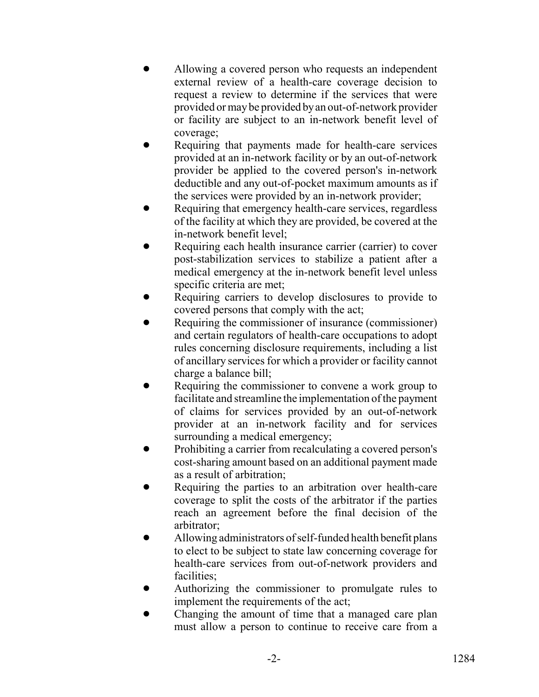- Allowing a covered person who requests an independent external review of a health-care coverage decision to request a review to determine if the services that were provided or may be provided by an out-of-network provider or facility are subject to an in-network benefit level of coverage;
- Requiring that payments made for health-care services provided at an in-network facility or by an out-of-network provider be applied to the covered person's in-network deductible and any out-of-pocket maximum amounts as if the services were provided by an in-network provider;
- Requiring that emergency health-care services, regardless of the facility at which they are provided, be covered at the in-network benefit level;
- Requiring each health insurance carrier (carrier) to cover post-stabilization services to stabilize a patient after a medical emergency at the in-network benefit level unless specific criteria are met;
- Requiring carriers to develop disclosures to provide to covered persons that comply with the act;
- Requiring the commissioner of insurance (commissioner) and certain regulators of health-care occupations to adopt rules concerning disclosure requirements, including a list of ancillary services for which a provider or facility cannot charge a balance bill;
- Requiring the commissioner to convene a work group to facilitate and streamline the implementation of the payment of claims for services provided by an out-of-network provider at an in-network facility and for services surrounding a medical emergency;
- Prohibiting a carrier from recalculating a covered person's cost-sharing amount based on an additional payment made as a result of arbitration;
- Requiring the parties to an arbitration over health-care coverage to split the costs of the arbitrator if the parties reach an agreement before the final decision of the arbitrator;
- Allowing administrators of self-funded health benefit plans to elect to be subject to state law concerning coverage for health-care services from out-of-network providers and facilities;
- ! Authorizing the commissioner to promulgate rules to implement the requirements of the act;
- ! Changing the amount of time that a managed care plan must allow a person to continue to receive care from a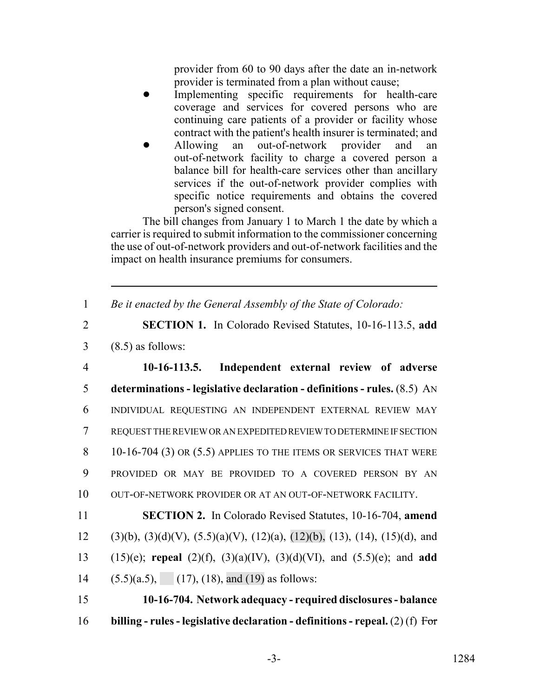provider from 60 to 90 days after the date an in-network provider is terminated from a plan without cause;

- Implementing specific requirements for health-care coverage and services for covered persons who are continuing care patients of a provider or facility whose contract with the patient's health insurer is terminated; and
- ! Allowing an out-of-network provider and an out-of-network facility to charge a covered person a balance bill for health-care services other than ancillary services if the out-of-network provider complies with specific notice requirements and obtains the covered person's signed consent.

The bill changes from January 1 to March 1 the date by which a carrier is required to submit information to the commissioner concerning the use of out-of-network providers and out-of-network facilities and the impact on health insurance premiums for consumers.

1 *Be it enacted by the General Assembly of the State of Colorado:*

2 **SECTION 1.** In Colorado Revised Statutes, 10-16-113.5, **add** 3 (8.5) as follows:

 **10-16-113.5. Independent external review of adverse determinations - legislative declaration - definitions - rules.** (8.5) AN INDIVIDUAL REQUESTING AN INDEPENDENT EXTERNAL REVIEW MAY REQUEST THE REVIEW OR AN EXPEDITED REVIEW TO DETERMINE IF SECTION 8 10-16-704 (3) OR (5.5) APPLIES TO THE ITEMS OR SERVICES THAT WERE PROVIDED OR MAY BE PROVIDED TO A COVERED PERSON BY AN 10 OUT-OF-NETWORK PROVIDER OR AT AN OUT-OF-NETWORK FACILITY.

11 **SECTION 2.** In Colorado Revised Statutes, 10-16-704, **amend** 12 (3)(b), (3)(d)(V), (5.5)(a)(V), (12)(a), (12)(b), (13), (14), (15)(d), and 13 (15)(e); **repeal** (2)(f), (3)(a)(IV), (3)(d)(VI), and (5.5)(e); and **add** 14 (5.5)(a.5), (17), (18), and (19) as follows:

15 **10-16-704. Network adequacy - required disclosures - balance** 16 **billing - rules - legislative declaration - definitions - repeal.** (2) (f) For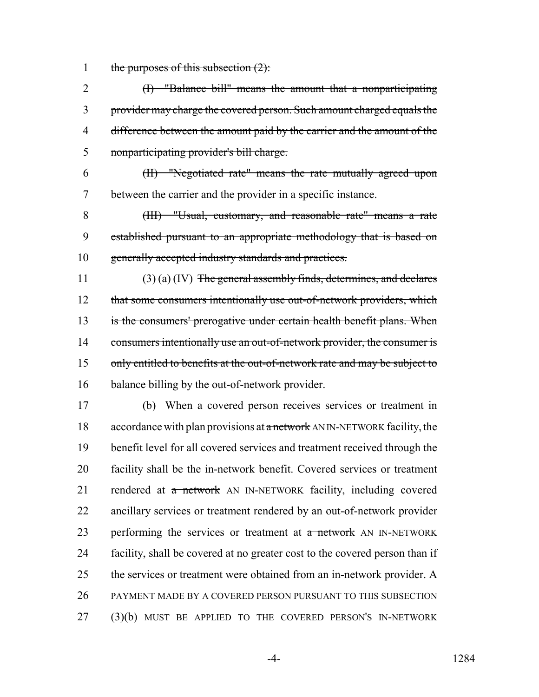1 the purposes of this subsection  $(2)$ :

 (I) "Balance bill" means the amount that a nonparticipating provider may charge the covered person. Such amount charged equals the 4 difference between the amount paid by the carrier and the amount of the nonparticipating provider's bill charge.

6 (II) "Negotiated rate" means the rate mutually agreed upon 7 between the carrier and the provider in a specific instance.

8 (III) "Usual, customary, and reasonable rate" means a rate 9 established pursuant to an appropriate methodology that is based on 10 generally accepted industry standards and practices.

11 (3) (a) (IV) The general assembly finds, determines, and declares 12 that some consumers intentionally use out-of-network providers, which 13 is the consumers' prerogative under certain health benefit plans. When 14 consumers intentionally use an out-of-network provider, the consumer is 15 only entitled to benefits at the out-of-network rate and may be subject to 16 balance billing by the out-of-network provider.

 (b) When a covered person receives services or treatment in 18 accordance with plan provisions at a network AN IN-NETWORK facility, the benefit level for all covered services and treatment received through the facility shall be the in-network benefit. Covered services or treatment 21 rendered at a network AN IN-NETWORK facility, including covered ancillary services or treatment rendered by an out-of-network provider 23 performing the services or treatment at a network AN IN-NETWORK facility, shall be covered at no greater cost to the covered person than if 25 the services or treatment were obtained from an in-network provider. A PAYMENT MADE BY A COVERED PERSON PURSUANT TO THIS SUBSECTION (3)(b) MUST BE APPLIED TO THE COVERED PERSON'S IN-NETWORK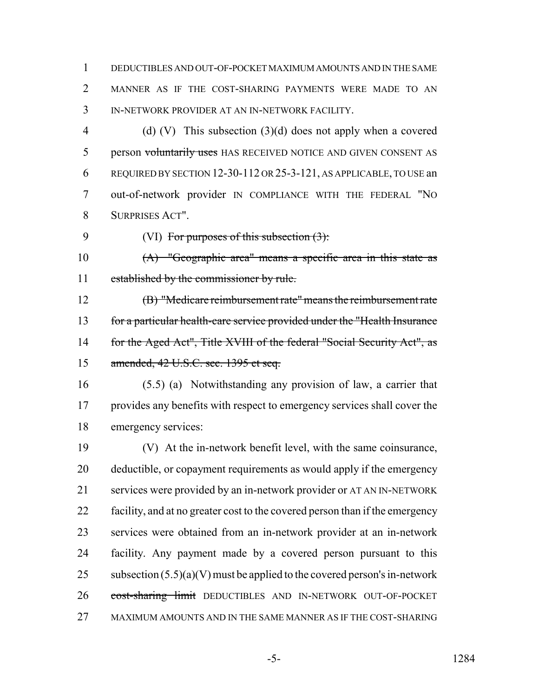DEDUCTIBLES AND OUT-OF-POCKET MAXIMUM AMOUNTS AND IN THE SAME MANNER AS IF THE COST-SHARING PAYMENTS WERE MADE TO AN IN-NETWORK PROVIDER AT AN IN-NETWORK FACILITY.

 (d) (V) This subsection (3)(d) does not apply when a covered 5 person voluntarily uses HAS RECEIVED NOTICE AND GIVEN CONSENT AS REQUIRED BY SECTION 12-30-112 OR 25-3-121, AS APPLICABLE, TO USE an out-of-network provider IN COMPLIANCE WITH THE FEDERAL "NO SURPRISES ACT".

9  $(VI)$  For purposes of this subsection  $(3)$ :

 (A) "Geographic area" means a specific area in this state as 11 established by the commissioner by rule.

 (B) "Medicare reimbursement rate" means the reimbursement rate for a particular health-care service provided under the "Health Insurance 14 for the Aged Act", Title XVIII of the federal "Social Security Act", as 15 amended, 42 U.S.C. sec. 1395 et seq.

 (5.5) (a) Notwithstanding any provision of law, a carrier that provides any benefits with respect to emergency services shall cover the emergency services:

 (V) At the in-network benefit level, with the same coinsurance, deductible, or copayment requirements as would apply if the emergency services were provided by an in-network provider or AT AN IN-NETWORK facility, and at no greater cost to the covered person than if the emergency services were obtained from an in-network provider at an in-network facility. Any payment made by a covered person pursuant to this 25 subsection  $(5.5)(a)(V)$  must be applied to the covered person's in-network 26 cost-sharing limit DEDUCTIBLES AND IN-NETWORK OUT-OF-POCKET MAXIMUM AMOUNTS AND IN THE SAME MANNER AS IF THE COST-SHARING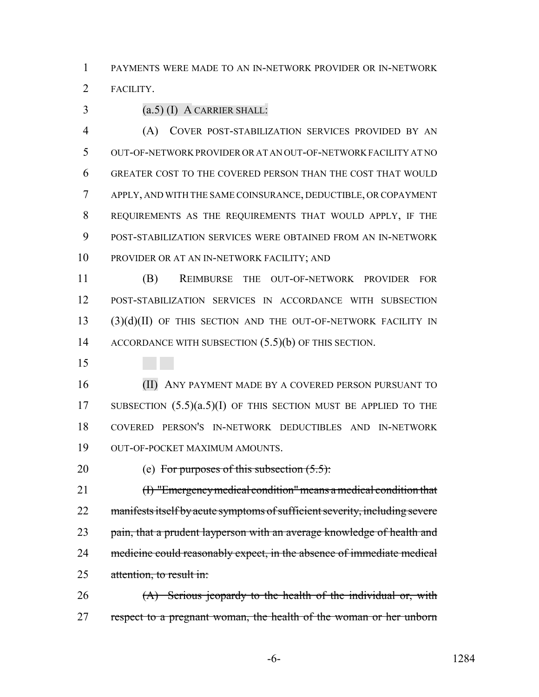PAYMENTS WERE MADE TO AN IN-NETWORK PROVIDER OR IN-NETWORK

FACILITY.

(a.5) (I) A CARRIER SHALL:

 (A) COVER POST-STABILIZATION SERVICES PROVIDED BY AN OUT-OF-NETWORK PROVIDER OR AT AN OUT-OF-NETWORK FACILITY AT NO GREATER COST TO THE COVERED PERSON THAN THE COST THAT WOULD APPLY, AND WITH THE SAME COINSURANCE, DEDUCTIBLE, OR COPAYMENT REQUIREMENTS AS THE REQUIREMENTS THAT WOULD APPLY, IF THE POST-STABILIZATION SERVICES WERE OBTAINED FROM AN IN-NETWORK PROVIDER OR AT AN IN-NETWORK FACILITY; AND

 (B) REIMBURSE THE OUT-OF-NETWORK PROVIDER FOR POST-STABILIZATION SERVICES IN ACCORDANCE WITH SUBSECTION (3)(d)(II) OF THIS SECTION AND THE OUT-OF-NETWORK FACILITY IN 14 ACCORDANCE WITH SUBSECTION  $(5.5)(b)$  OF THIS SECTION.

 (II) ANY PAYMENT MADE BY A COVERED PERSON PURSUANT TO 17 SUBSECTION  $(5.5)(a.5)(I)$  OF THIS SECTION MUST BE APPLIED TO THE COVERED PERSON'S IN-NETWORK DEDUCTIBLES AND IN-NETWORK OUT-OF-POCKET MAXIMUM AMOUNTS.

20 (e) For purposes of this subsection  $(5.5)$ :

 (I) "Emergency medical condition" means a medical condition that 22 manifests itself by acute symptoms of sufficient severity, including severe 23 pain, that a prudent layperson with an average knowledge of health and 24 medicine could reasonably expect, in the absence of immediate medical 25 attention, to result in:

26 (A) Serious jeopardy to the health of the individual or, with 27 respect to a pregnant woman, the health of the woman or her unborn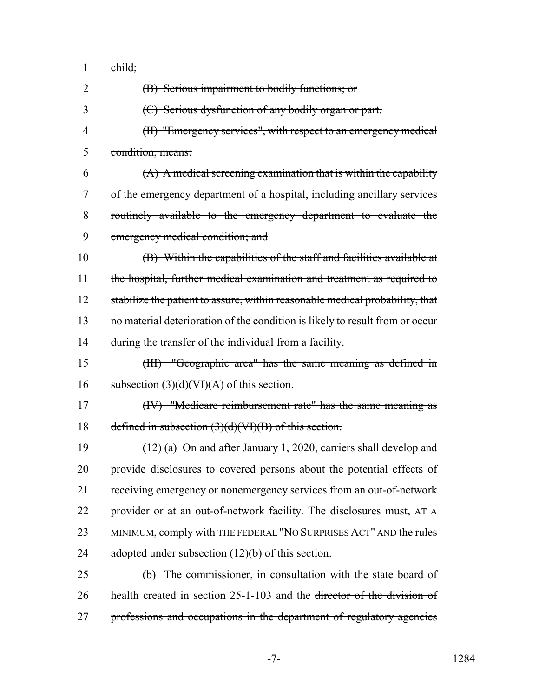child;

 (B) Serious impairment to bodily functions; or (C) Serious dysfunction of any bodily organ or part. (II) "Emergency services", with respect to an emergency medical condition, means:  $(4)$  A medical screening examination that is within the capability of the emergency department of a hospital, including ancillary services routinely available to the emergency department to evaluate the emergency medical condition; and (B) Within the capabilities of the staff and facilities available at 11 the hospital, further medical examination and treatment as required to 12 stabilize the patient to assure, within reasonable medical probability, that 13 no material deterioration of the condition is likely to result from or occur 14 during the transfer of the individual from a facility. (III) "Geographic area" has the same meaning as defined in 16 subsection  $(3)(d)(VI)(A)$  of this section. (IV) "Medicare reimbursement rate" has the same meaning as defined in subsection (3)(d)(VI)(B) of this section. (12) (a) On and after January 1, 2020, carriers shall develop and provide disclosures to covered persons about the potential effects of receiving emergency or nonemergency services from an out-of-network provider or at an out-of-network facility. The disclosures must, AT A MINIMUM, comply with THE FEDERAL "NO SURPRISES ACT" AND the rules adopted under subsection (12)(b) of this section. (b) The commissioner, in consultation with the state board of health created in section 25-1-103 and the director of the division of 27 professions and occupations in the department of regulatory agencies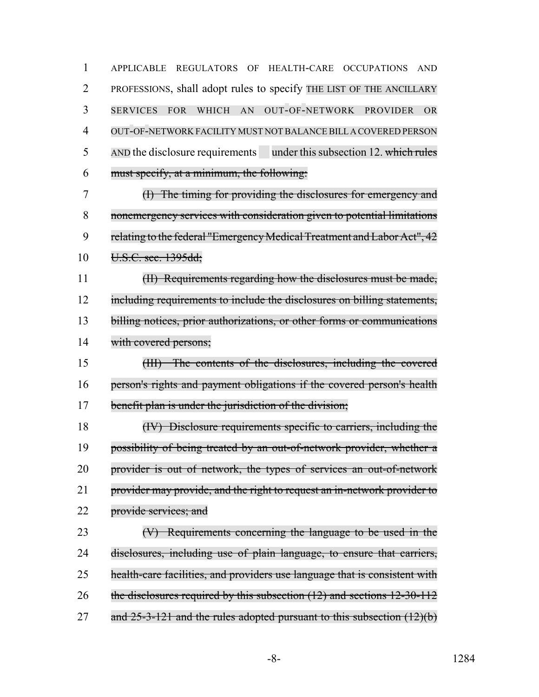APPLICABLE REGULATORS OF HEALTH-CARE OCCUPATIONS AND PROFESSIONS, shall adopt rules to specify THE LIST OF THE ANCILLARY SERVICES FOR WHICH AN OUT-OF-NETWORK PROVIDER OR OUT-OF-NETWORK FACILITY MUST NOT BALANCE BILLA COVERED PERSON 5 AND the disclosure requirements under this subsection 12. which rules must specify, at a minimum, the following:

 (I) The timing for providing the disclosures for emergency and nonemergency services with consideration given to potential limitations 9 relating to the federal "Emergency Medical Treatment and Labor Act", 42 U.S.C. sec. 1395dd;

 (II) Requirements regarding how the disclosures must be made, 12 including requirements to include the disclosures on billing statements, 13 billing notices, prior authorizations, or other forms or communications with covered persons;

 (III) The contents of the disclosures, including the covered person's rights and payment obligations if the covered person's health benefit plan is under the jurisdiction of the division;

 (IV) Disclosure requirements specific to carriers, including the possibility of being treated by an out-of-network provider, whether a provider is out of network, the types of services an out-of-network 21 provider may provide, and the right to request an in-network provider to 22 provide services; and

 (V) Requirements concerning the language to be used in the disclosures, including use of plain language, to ensure that carriers, health-care facilities, and providers use language that is consistent with the disclosures required by this subsection (12) and sections 12-30-112 27 and  $25-3-121$  and the rules adopted pursuant to this subsection  $(12)(b)$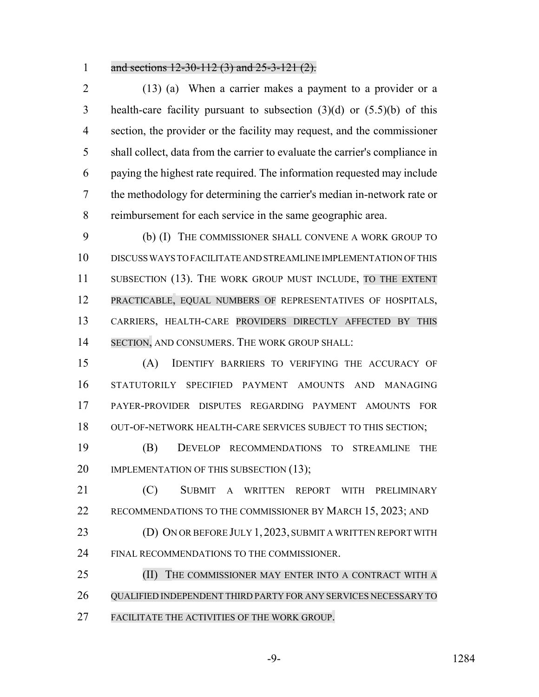#### 1 and sections 12-30-112 (3) and 25-3-121 (2).

 (13) (a) When a carrier makes a payment to a provider or a health-care facility pursuant to subsection (3)(d) or (5.5)(b) of this section, the provider or the facility may request, and the commissioner shall collect, data from the carrier to evaluate the carrier's compliance in paying the highest rate required. The information requested may include the methodology for determining the carrier's median in-network rate or reimbursement for each service in the same geographic area.

 (b) (I) THE COMMISSIONER SHALL CONVENE A WORK GROUP TO DISCUSS WAYS TO FACILITATE AND STREAMLINE IMPLEMENTATION OF THIS 11 SUBSECTION (13). THE WORK GROUP MUST INCLUDE, TO THE EXTENT PRACTICABLE, EQUAL NUMBERS OF REPRESENTATIVES OF HOSPITALS, CARRIERS, HEALTH-CARE PROVIDERS DIRECTLY AFFECTED BY THIS 14 SECTION, AND CONSUMERS. THE WORK GROUP SHALL:

 (A) IDENTIFY BARRIERS TO VERIFYING THE ACCURACY OF STATUTORILY SPECIFIED PAYMENT AMOUNTS AND MANAGING PAYER-PROVIDER DISPUTES REGARDING PAYMENT AMOUNTS FOR OUT-OF-NETWORK HEALTH-CARE SERVICES SUBJECT TO THIS SECTION;

 (B) DEVELOP RECOMMENDATIONS TO STREAMLINE THE 20 IMPLEMENTATION OF THIS SUBSECTION (13);

 (C) SUBMIT A WRITTEN REPORT WITH PRELIMINARY 22 RECOMMENDATIONS TO THE COMMISSIONER BY MARCH 15, 2023; AND

23 (D) ON OR BEFORE JULY 1, 2023, SUBMIT A WRITTEN REPORT WITH FINAL RECOMMENDATIONS TO THE COMMISSIONER.

**(II)** THE COMMISSIONER MAY ENTER INTO A CONTRACT WITH A QUALIFIED INDEPENDENT THIRD PARTY FOR ANY SERVICES NECESSARY TO FACILITATE THE ACTIVITIES OF THE WORK GROUP.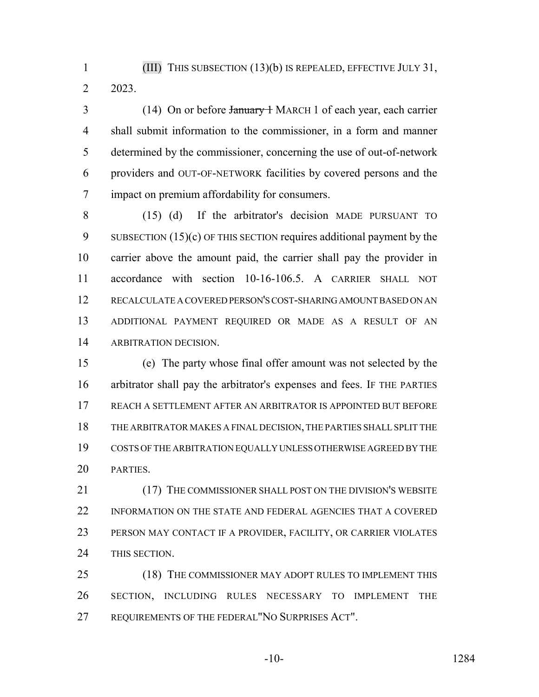(III) THIS SUBSECTION (13)(b) IS REPEALED, EFFECTIVE JULY 31, 2023.

3 (14) On or before <del>January 1</del> MARCH 1 of each year, each carrier shall submit information to the commissioner, in a form and manner determined by the commissioner, concerning the use of out-of-network providers and OUT-OF-NETWORK facilities by covered persons and the impact on premium affordability for consumers.

 (15) (d) If the arbitrator's decision MADE PURSUANT TO 9 SUBSECTION (15)(c) OF THIS SECTION requires additional payment by the carrier above the amount paid, the carrier shall pay the provider in accordance with section 10-16-106.5. A CARRIER SHALL NOT RECALCULATE A COVERED PERSON'S COST-SHARING AMOUNT BASED ON AN ADDITIONAL PAYMENT REQUIRED OR MADE AS A RESULT OF AN ARBITRATION DECISION.

 (e) The party whose final offer amount was not selected by the arbitrator shall pay the arbitrator's expenses and fees. IF THE PARTIES REACH A SETTLEMENT AFTER AN ARBITRATOR IS APPOINTED BUT BEFORE THE ARBITRATOR MAKES A FINAL DECISION, THE PARTIES SHALL SPLIT THE COSTS OF THE ARBITRATION EQUALLY UNLESS OTHERWISE AGREED BY THE PARTIES.

21 (17) THE COMMISSIONER SHALL POST ON THE DIVISION'S WEBSITE 22 INFORMATION ON THE STATE AND FEDERAL AGENCIES THAT A COVERED PERSON MAY CONTACT IF A PROVIDER, FACILITY, OR CARRIER VIOLATES THIS SECTION.

25 (18) THE COMMISSIONER MAY ADOPT RULES TO IMPLEMENT THIS SECTION, INCLUDING RULES NECESSARY TO IMPLEMENT THE REQUIREMENTS OF THE FEDERAL"NO SURPRISES ACT".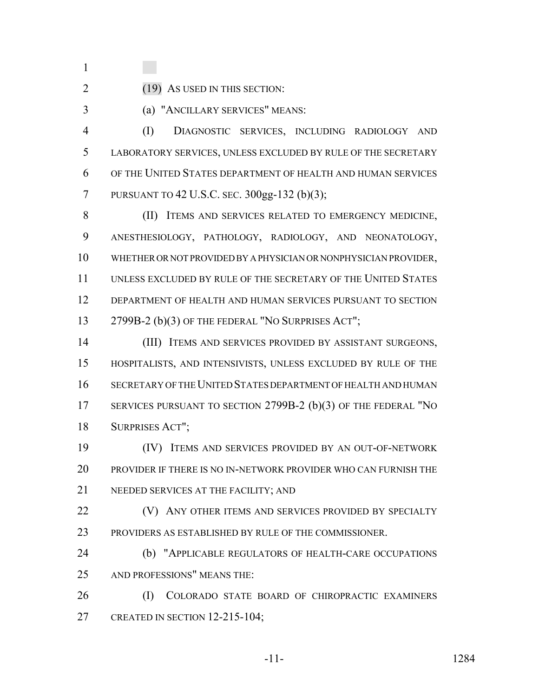2 (19) AS USED IN THIS SECTION:

- 
- 

(a) "ANCILLARY SERVICES" MEANS:

 (I) DIAGNOSTIC SERVICES, INCLUDING RADIOLOGY AND LABORATORY SERVICES, UNLESS EXCLUDED BY RULE OF THE SECRETARY OF THE UNITED STATES DEPARTMENT OF HEALTH AND HUMAN SERVICES PURSUANT TO 42 U.S.C. SEC. 300gg-132 (b)(3);

8 (II) ITEMS AND SERVICES RELATED TO EMERGENCY MEDICINE, ANESTHESIOLOGY, PATHOLOGY, RADIOLOGY, AND NEONATOLOGY, WHETHER OR NOT PROVIDED BY A PHYSICIAN OR NONPHYSICIAN PROVIDER, UNLESS EXCLUDED BY RULE OF THE SECRETARY OF THE UNITED STATES DEPARTMENT OF HEALTH AND HUMAN SERVICES PURSUANT TO SECTION 13 2799B-2 (b)(3) OF THE FEDERAL "NO SURPRISES ACT";

 (III) ITEMS AND SERVICES PROVIDED BY ASSISTANT SURGEONS, HOSPITALISTS, AND INTENSIVISTS, UNLESS EXCLUDED BY RULE OF THE SECRETARY OF THE UNITED STATES DEPARTMENT OF HEALTH AND HUMAN SERVICES PURSUANT TO SECTION 2799B-2 (b)(3) OF THE FEDERAL "NO SURPRISES ACT";

 (IV) ITEMS AND SERVICES PROVIDED BY AN OUT-OF-NETWORK PROVIDER IF THERE IS NO IN-NETWORK PROVIDER WHO CAN FURNISH THE NEEDED SERVICES AT THE FACILITY; AND

**(V)** ANY OTHER ITEMS AND SERVICES PROVIDED BY SPECIALTY PROVIDERS AS ESTABLISHED BY RULE OF THE COMMISSIONER.

 (b) "APPLICABLE REGULATORS OF HEALTH-CARE OCCUPATIONS AND PROFESSIONS" MEANS THE:

 (I) COLORADO STATE BOARD OF CHIROPRACTIC EXAMINERS CREATED IN SECTION 12-215-104;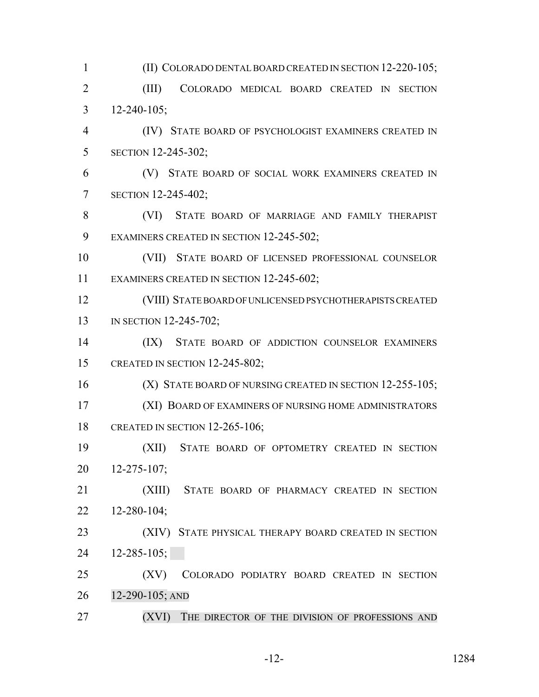(II) COLORADO DENTAL BOARD CREATED IN SECTION 12-220-105; (III) COLORADO MEDICAL BOARD CREATED IN SECTION 12-240-105; (IV) STATE BOARD OF PSYCHOLOGIST EXAMINERS CREATED IN SECTION 12-245-302; (V) STATE BOARD OF SOCIAL WORK EXAMINERS CREATED IN SECTION 12-245-402; (VI) STATE BOARD OF MARRIAGE AND FAMILY THERAPIST 9 EXAMINERS CREATED IN SECTION 12-245-502; (VII) STATE BOARD OF LICENSED PROFESSIONAL COUNSELOR 11 EXAMINERS CREATED IN SECTION 12-245-602; (VIII) STATE BOARD OF UNLICENSED PSYCHOTHERAPISTS CREATED 13 IN SECTION 12-245-702; (IX) STATE BOARD OF ADDICTION COUNSELOR EXAMINERS CREATED IN SECTION 12-245-802; 16 (X) STATE BOARD OF NURSING CREATED IN SECTION 12-255-105; (XI) BOARD OF EXAMINERS OF NURSING HOME ADMINISTRATORS CREATED IN SECTION 12-265-106; (XII) STATE BOARD OF OPTOMETRY CREATED IN SECTION 12-275-107; (XIII) STATE BOARD OF PHARMACY CREATED IN SECTION 12-280-104; 23 (XIV) STATE PHYSICAL THERAPY BOARD CREATED IN SECTION 12-285-105; (XV) COLORADO PODIATRY BOARD CREATED IN SECTION 12-290-105; AND 27 (XVI) THE DIRECTOR OF THE DIVISION OF PROFESSIONS AND

-12- 1284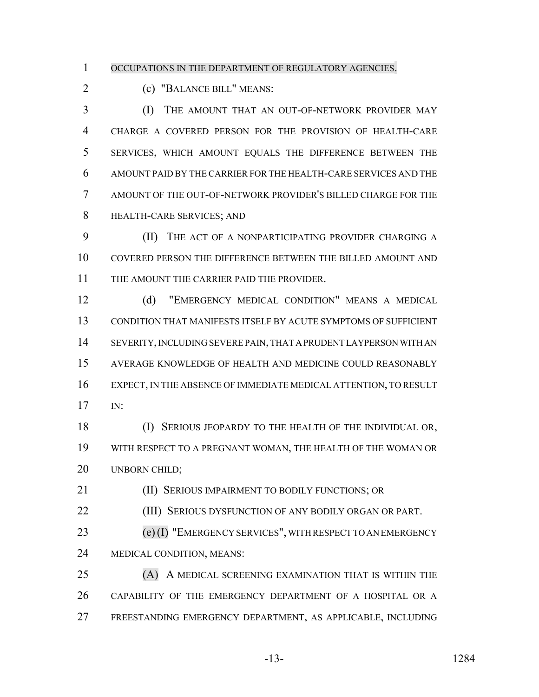OCCUPATIONS IN THE DEPARTMENT OF REGULATORY AGENCIES.

(c) "BALANCE BILL" MEANS:

**(I)** THE AMOUNT THAT AN OUT-OF-NETWORK PROVIDER MAY CHARGE A COVERED PERSON FOR THE PROVISION OF HEALTH-CARE SERVICES, WHICH AMOUNT EQUALS THE DIFFERENCE BETWEEN THE AMOUNT PAID BY THE CARRIER FOR THE HEALTH-CARE SERVICES AND THE AMOUNT OF THE OUT-OF-NETWORK PROVIDER'S BILLED CHARGE FOR THE HEALTH-CARE SERVICES; AND

 (II) THE ACT OF A NONPARTICIPATING PROVIDER CHARGING A COVERED PERSON THE DIFFERENCE BETWEEN THE BILLED AMOUNT AND THE AMOUNT THE CARRIER PAID THE PROVIDER.

 (d) "EMERGENCY MEDICAL CONDITION" MEANS A MEDICAL CONDITION THAT MANIFESTS ITSELF BY ACUTE SYMPTOMS OF SUFFICIENT SEVERITY, INCLUDING SEVERE PAIN, THAT A PRUDENT LAYPERSON WITH AN AVERAGE KNOWLEDGE OF HEALTH AND MEDICINE COULD REASONABLY EXPECT, IN THE ABSENCE OF IMMEDIATE MEDICAL ATTENTION, TO RESULT IN:

 (I) SERIOUS JEOPARDY TO THE HEALTH OF THE INDIVIDUAL OR, WITH RESPECT TO A PREGNANT WOMAN, THE HEALTH OF THE WOMAN OR 20 UNBORN CHILD;

**(II) SERIOUS IMPAIRMENT TO BODILY FUNCTIONS; OR** 

**(III) SERIOUS DYSFUNCTION OF ANY BODILY ORGAN OR PART.** 

 (e)(I) "EMERGENCY SERVICES", WITH RESPECT TO AN EMERGENCY MEDICAL CONDITION, MEANS:

 (A) A MEDICAL SCREENING EXAMINATION THAT IS WITHIN THE CAPABILITY OF THE EMERGENCY DEPARTMENT OF A HOSPITAL OR A FREESTANDING EMERGENCY DEPARTMENT, AS APPLICABLE, INCLUDING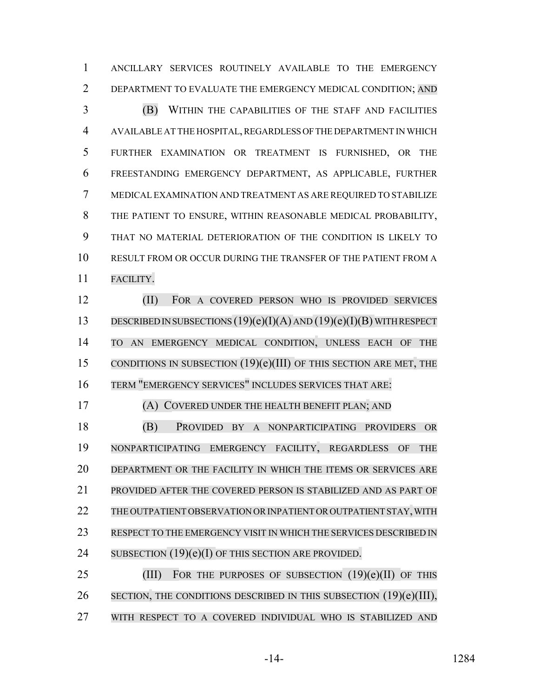ANCILLARY SERVICES ROUTINELY AVAILABLE TO THE EMERGENCY 2 DEPARTMENT TO EVALUATE THE EMERGENCY MEDICAL CONDITION; AND

 (B) WITHIN THE CAPABILITIES OF THE STAFF AND FACILITIES AVAILABLE AT THE HOSPITAL, REGARDLESS OF THE DEPARTMENT IN WHICH FURTHER EXAMINATION OR TREATMENT IS FURNISHED, OR THE FREESTANDING EMERGENCY DEPARTMENT, AS APPLICABLE, FURTHER MEDICAL EXAMINATION AND TREATMENT AS ARE REQUIRED TO STABILIZE THE PATIENT TO ENSURE, WITHIN REASONABLE MEDICAL PROBABILITY, THAT NO MATERIAL DETERIORATION OF THE CONDITION IS LIKELY TO RESULT FROM OR OCCUR DURING THE TRANSFER OF THE PATIENT FROM A FACILITY.

 (II) FOR A COVERED PERSON WHO IS PROVIDED SERVICES DESCRIBED IN SUBSECTIONS (19)(e)(I)(A) AND (19)(e)(I)(B) WITH RESPECT TO AN EMERGENCY MEDICAL CONDITION, UNLESS EACH OF THE CONDITIONS IN SUBSECTION (19)(e)(III) OF THIS SECTION ARE MET, THE TERM "EMERGENCY SERVICES" INCLUDES SERVICES THAT ARE:

#### (A) COVERED UNDER THE HEALTH BENEFIT PLAN; AND

 (B) PROVIDED BY A NONPARTICIPATING PROVIDERS OR NONPARTICIPATING EMERGENCY FACILITY, REGARDLESS OF THE DEPARTMENT OR THE FACILITY IN WHICH THE ITEMS OR SERVICES ARE PROVIDED AFTER THE COVERED PERSON IS STABILIZED AND AS PART OF THE OUTPATIENT OBSERVATION ORINPATIENT OR OUTPATIENT STAY, WITH 23 RESPECT TO THE EMERGENCY VISIT IN WHICH THE SERVICES DESCRIBED IN 24 SUBSECTION (19)(e)(I) OF THIS SECTION ARE PROVIDED.

25 (III) FOR THE PURPOSES OF SUBSECTION  $(19)(e)(II)$  OF THIS 26 SECTION, THE CONDITIONS DESCRIBED IN THIS SUBSECTION (19)(e)(III), WITH RESPECT TO A COVERED INDIVIDUAL WHO IS STABILIZED AND

$$
-14-
$$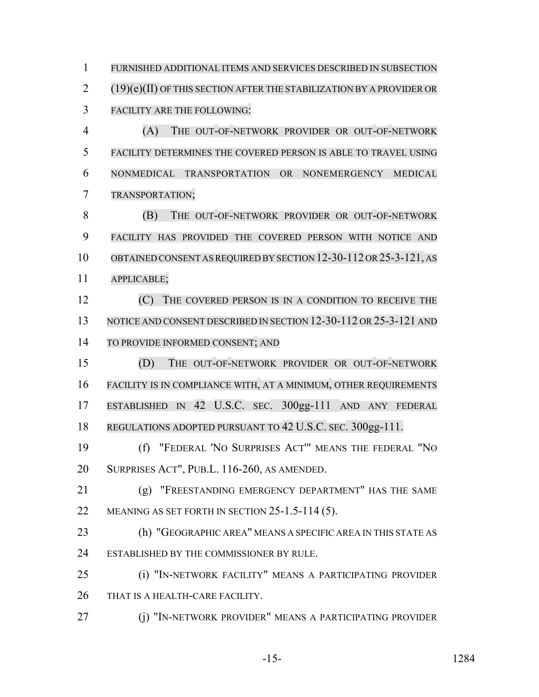FURNISHED ADDITIONAL ITEMS AND SERVICES DESCRIBED IN SUBSECTION (19)(e)(II) OF THIS SECTION AFTER THE STABILIZATION BY A PROVIDER OR FACILITY ARE THE FOLLOWING: (A) THE OUT-OF-NETWORK PROVIDER OR OUT-OF-NETWORK FACILITY DETERMINES THE COVERED PERSON IS ABLE TO TRAVEL USING NONMEDICAL TRANSPORTATION OR NONEMERGENCY MEDICAL TRANSPORTATION; (B) THE OUT-OF-NETWORK PROVIDER OR OUT-OF-NETWORK FACILITY HAS PROVIDED THE COVERED PERSON WITH NOTICE AND 10 OBTAINED CONSENT AS REQUIRED BY SECTION 12-30-112 OR 25-3-121, AS APPLICABLE; **12** (C) THE COVERED PERSON IS IN A CONDITION TO RECEIVE THE 13 NOTICE AND CONSENT DESCRIBED IN SECTION 12-30-112 OR 25-3-121 AND TO PROVIDE INFORMED CONSENT; AND (D) THE OUT-OF-NETWORK PROVIDER OR OUT-OF-NETWORK FACILITY IS IN COMPLIANCE WITH, AT A MINIMUM, OTHER REQUIREMENTS ESTABLISHED IN 42 U.S.C. SEC. 300gg-111 AND ANY FEDERAL REGULATIONS ADOPTED PURSUANT TO 42 U.S.C. SEC. 300gg-111. (f) "FEDERAL 'NO SURPRISES ACT'" MEANS THE FEDERAL "NO SURPRISES ACT", PUB.L. 116-260, AS AMENDED. (g) "FREESTANDING EMERGENCY DEPARTMENT" HAS THE SAME

- 22 MEANING AS SET FORTH IN SECTION 25-1.5-114 (5).
- (h) "GEOGRAPHIC AREA" MEANS A SPECIFIC AREA IN THIS STATE AS 24 ESTABLISHED BY THE COMMISSIONER BY RULE.
- (i) "IN-NETWORK FACILITY" MEANS A PARTICIPATING PROVIDER 26 THAT IS A HEALTH-CARE FACILITY.
- **(i) "IN-NETWORK PROVIDER" MEANS A PARTICIPATING PROVIDER**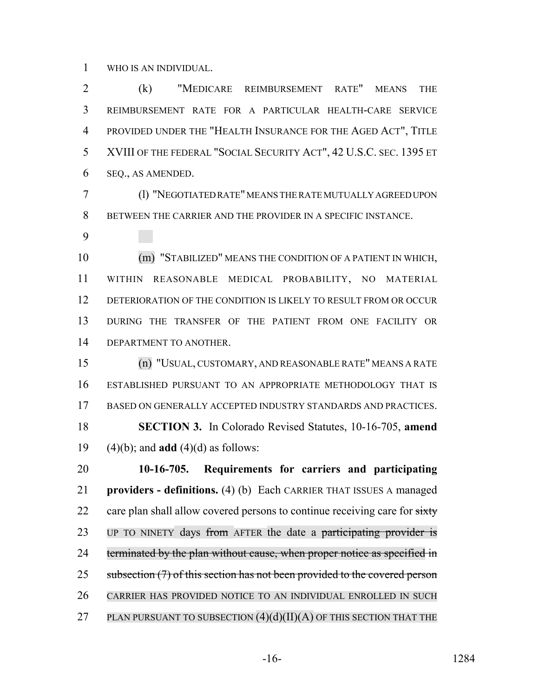WHO IS AN INDIVIDUAL.

 (k) "MEDICARE REIMBURSEMENT RATE" MEANS THE REIMBURSEMENT RATE FOR A PARTICULAR HEALTH-CARE SERVICE PROVIDED UNDER THE "HEALTH INSURANCE FOR THE AGED ACT", TITLE XVIII OF THE FEDERAL "SOCIAL SECURITY ACT", 42 U.S.C. SEC. 1395 ET SEQ., AS AMENDED.

 (l) "NEGOTIATED RATE" MEANS THE RATE MUTUALLY AGREED UPON BETWEEN THE CARRIER AND THE PROVIDER IN A SPECIFIC INSTANCE.

 (m) "STABILIZED" MEANS THE CONDITION OF A PATIENT IN WHICH, WITHIN REASONABLE MEDICAL PROBABILITY, NO MATERIAL DETERIORATION OF THE CONDITION IS LIKELY TO RESULT FROM OR OCCUR DURING THE TRANSFER OF THE PATIENT FROM ONE FACILITY OR DEPARTMENT TO ANOTHER.

 (n) "USUAL, CUSTOMARY, AND REASONABLE RATE" MEANS A RATE ESTABLISHED PURSUANT TO AN APPROPRIATE METHODOLOGY THAT IS BASED ON GENERALLY ACCEPTED INDUSTRY STANDARDS AND PRACTICES. **SECTION 3.** In Colorado Revised Statutes, 10-16-705, **amend** (4)(b); and **add** (4)(d) as follows:

 **10-16-705. Requirements for carriers and participating providers - definitions.** (4) (b) Each CARRIER THAT ISSUES A managed 22 care plan shall allow covered persons to continue receiving care for  $\frac{1}{\text{Ext }V}$ 23 UP TO NINETY days from AFTER the date a participating provider is 24 terminated by the plan without cause, when proper notice as specified in 25 subsection (7) of this section has not been provided to the covered person CARRIER HAS PROVIDED NOTICE TO AN INDIVIDUAL ENROLLED IN SUCH 27 PLAN PURSUANT TO SUBSECTION  $(4)(d)(II)(A)$  OF THIS SECTION THAT THE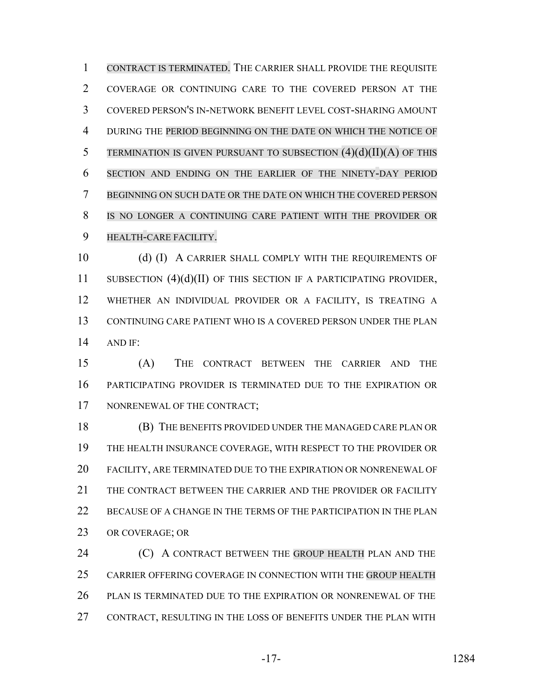CONTRACT IS TERMINATED. THE CARRIER SHALL PROVIDE THE REQUISITE COVERAGE OR CONTINUING CARE TO THE COVERED PERSON AT THE COVERED PERSON'S IN-NETWORK BENEFIT LEVEL COST-SHARING AMOUNT DURING THE PERIOD BEGINNING ON THE DATE ON WHICH THE NOTICE OF 5 TERMINATION IS GIVEN PURSUANT TO SUBSECTION  $(4)(d)(II)(A)$  OF THIS SECTION AND ENDING ON THE EARLIER OF THE NINETY-DAY PERIOD BEGINNING ON SUCH DATE OR THE DATE ON WHICH THE COVERED PERSON IS NO LONGER A CONTINUING CARE PATIENT WITH THE PROVIDER OR HEALTH-CARE FACILITY.

10 (d) (I) A CARRIER SHALL COMPLY WITH THE REQUIREMENTS OF 11 SUBSECTION (4)(d)(II) OF THIS SECTION IF A PARTICIPATING PROVIDER, WHETHER AN INDIVIDUAL PROVIDER OR A FACILITY, IS TREATING A CONTINUING CARE PATIENT WHO IS A COVERED PERSON UNDER THE PLAN AND IF:

 (A) THE CONTRACT BETWEEN THE CARRIER AND THE PARTICIPATING PROVIDER IS TERMINATED DUE TO THE EXPIRATION OR 17 NONRENEWAL OF THE CONTRACT;

 (B) THE BENEFITS PROVIDED UNDER THE MANAGED CARE PLAN OR THE HEALTH INSURANCE COVERAGE, WITH RESPECT TO THE PROVIDER OR FACILITY, ARE TERMINATED DUE TO THE EXPIRATION OR NONRENEWAL OF THE CONTRACT BETWEEN THE CARRIER AND THE PROVIDER OR FACILITY BECAUSE OF A CHANGE IN THE TERMS OF THE PARTICIPATION IN THE PLAN OR COVERAGE; OR

**(C)** A CONTRACT BETWEEN THE GROUP HEALTH PLAN AND THE CARRIER OFFERING COVERAGE IN CONNECTION WITH THE GROUP HEALTH PLAN IS TERMINATED DUE TO THE EXPIRATION OR NONRENEWAL OF THE CONTRACT, RESULTING IN THE LOSS OF BENEFITS UNDER THE PLAN WITH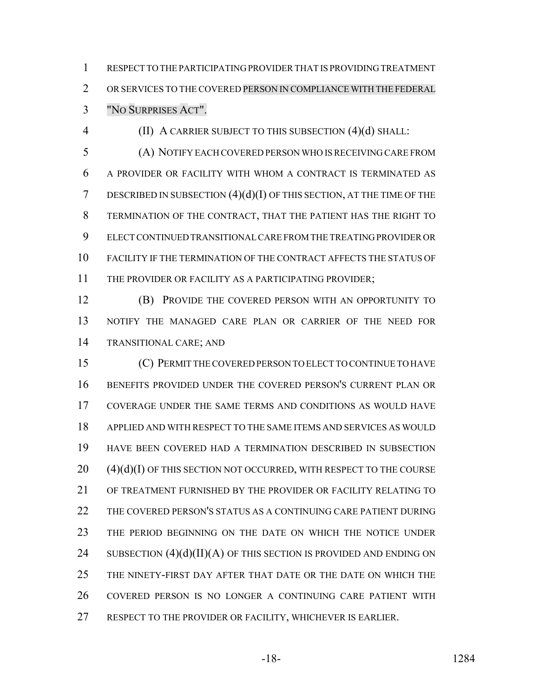RESPECT TO THE PARTICIPATING PROVIDER THAT IS PROVIDING TREATMENT OR SERVICES TO THE COVERED PERSON IN COMPLIANCE WITH THE FEDERAL "NO SURPRISES ACT".

(II) A CARRIER SUBJECT TO THIS SUBSECTION (4)(d) SHALL:

 (A) NOTIFY EACH COVERED PERSON WHO IS RECEIVING CARE FROM A PROVIDER OR FACILITY WITH WHOM A CONTRACT IS TERMINATED AS DESCRIBED IN SUBSECTION (4)(d)(I) OF THIS SECTION, AT THE TIME OF THE TERMINATION OF THE CONTRACT, THAT THE PATIENT HAS THE RIGHT TO ELECT CONTINUED TRANSITIONAL CARE FROM THE TREATING PROVIDER OR FACILITY IF THE TERMINATION OF THE CONTRACT AFFECTS THE STATUS OF 11 THE PROVIDER OR FACILITY AS A PARTICIPATING PROVIDER;

**(B) PROVIDE THE COVERED PERSON WITH AN OPPORTUNITY TO**  NOTIFY THE MANAGED CARE PLAN OR CARRIER OF THE NEED FOR TRANSITIONAL CARE; AND

 (C) PERMIT THE COVERED PERSON TO ELECT TO CONTINUE TO HAVE BENEFITS PROVIDED UNDER THE COVERED PERSON'S CURRENT PLAN OR COVERAGE UNDER THE SAME TERMS AND CONDITIONS AS WOULD HAVE APPLIED AND WITH RESPECT TO THE SAME ITEMS AND SERVICES AS WOULD HAVE BEEN COVERED HAD A TERMINATION DESCRIBED IN SUBSECTION (4)(d)(I) OF THIS SECTION NOT OCCURRED, WITH RESPECT TO THE COURSE OF TREATMENT FURNISHED BY THE PROVIDER OR FACILITY RELATING TO THE COVERED PERSON'S STATUS AS A CONTINUING CARE PATIENT DURING THE PERIOD BEGINNING ON THE DATE ON WHICH THE NOTICE UNDER 24 SUBSECTION  $(4)(d)(II)(A)$  OF THIS SECTION IS PROVIDED AND ENDING ON THE NINETY-FIRST DAY AFTER THAT DATE OR THE DATE ON WHICH THE COVERED PERSON IS NO LONGER A CONTINUING CARE PATIENT WITH 27 RESPECT TO THE PROVIDER OR FACILITY, WHICHEVER IS EARLIER.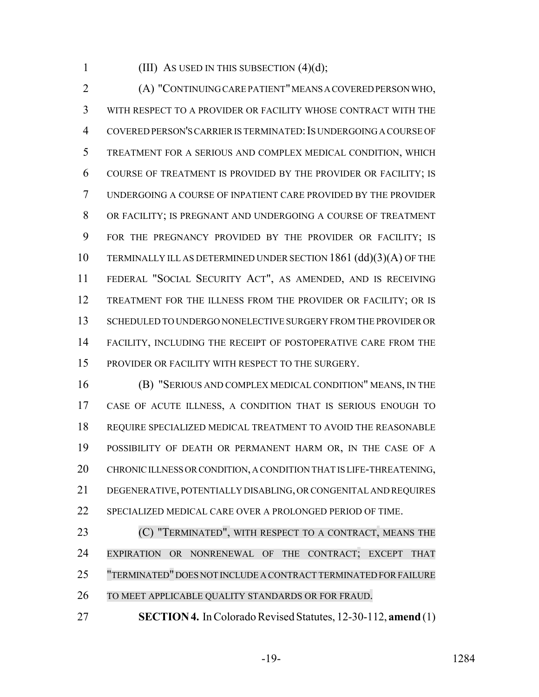1 (III) AS USED IN THIS SUBSECTION  $(4)(d)$ ;

 (A) "CONTINUING CARE PATIENT" MEANS A COVERED PERSON WHO, WITH RESPECT TO A PROVIDER OR FACILITY WHOSE CONTRACT WITH THE 4 COVERED PERSON'S CARRIER IS TERMINATED: IS UNDERGOING A COURSE OF TREATMENT FOR A SERIOUS AND COMPLEX MEDICAL CONDITION, WHICH COURSE OF TREATMENT IS PROVIDED BY THE PROVIDER OR FACILITY; IS UNDERGOING A COURSE OF INPATIENT CARE PROVIDED BY THE PROVIDER OR FACILITY; IS PREGNANT AND UNDERGOING A COURSE OF TREATMENT FOR THE PREGNANCY PROVIDED BY THE PROVIDER OR FACILITY; IS TERMINALLY ILL AS DETERMINED UNDER SECTION 1861 (dd)(3)(A) OF THE FEDERAL "SOCIAL SECURITY ACT", AS AMENDED, AND IS RECEIVING TREATMENT FOR THE ILLNESS FROM THE PROVIDER OR FACILITY; OR IS SCHEDULED TO UNDERGO NONELECTIVE SURGERY FROM THE PROVIDER OR FACILITY, INCLUDING THE RECEIPT OF POSTOPERATIVE CARE FROM THE 15 PROVIDER OR FACILITY WITH RESPECT TO THE SURGERY.

 (B) "SERIOUS AND COMPLEX MEDICAL CONDITION" MEANS, IN THE CASE OF ACUTE ILLNESS, A CONDITION THAT IS SERIOUS ENOUGH TO REQUIRE SPECIALIZED MEDICAL TREATMENT TO AVOID THE REASONABLE POSSIBILITY OF DEATH OR PERMANENT HARM OR, IN THE CASE OF A 20 CHRONIC ILLNESS OR CONDITION, A CONDITION THAT IS LIFE-THREATENING, DEGENERATIVE, POTENTIALLY DISABLING, OR CONGENITAL AND REQUIRES SPECIALIZED MEDICAL CARE OVER A PROLONGED PERIOD OF TIME.

**(C) "TERMINATED", WITH RESPECT TO A CONTRACT, MEANS THE**  EXPIRATION OR NONRENEWAL OF THE CONTRACT; EXCEPT THAT "TERMINATED" DOES NOT INCLUDE A CONTRACT TERMINATED FOR FAILURE TO MEET APPLICABLE QUALITY STANDARDS OR FOR FRAUD.

**SECTION 4.** In Colorado Revised Statutes, 12-30-112, **amend** (1)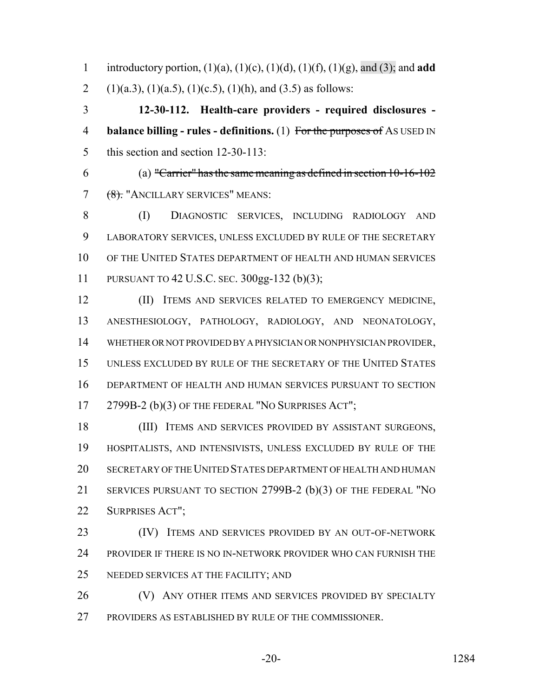introductory portion, (1)(a), (1)(c), (1)(d), (1)(f), (1)(g), and (3); and **add** 2 (1)(a.3), (1)(a.5), (1)(c.5), (1)(h), and (3.5) as follows:

 **12-30-112. Health-care providers - required disclosures - balance billing - rules - definitions.** (1) For the purposes of AS USED IN this section and section 12-30-113:

 (a) "Carrier" has the same meaning as defined in section  $10-16-102$ 7 (8). "ANCILLARY SERVICES" MEANS:

 (I) DIAGNOSTIC SERVICES, INCLUDING RADIOLOGY AND LABORATORY SERVICES, UNLESS EXCLUDED BY RULE OF THE SECRETARY OF THE UNITED STATES DEPARTMENT OF HEALTH AND HUMAN SERVICES PURSUANT TO 42 U.S.C. SEC. 300gg-132 (b)(3);

 (II) ITEMS AND SERVICES RELATED TO EMERGENCY MEDICINE, ANESTHESIOLOGY, PATHOLOGY, RADIOLOGY, AND NEONATOLOGY, WHETHER OR NOT PROVIDED BY A PHYSICIAN OR NONPHYSICIAN PROVIDER, UNLESS EXCLUDED BY RULE OF THE SECRETARY OF THE UNITED STATES DEPARTMENT OF HEALTH AND HUMAN SERVICES PURSUANT TO SECTION 17 2799B-2 (b)(3) OF THE FEDERAL "NO SURPRISES ACT";

 (III) ITEMS AND SERVICES PROVIDED BY ASSISTANT SURGEONS, HOSPITALISTS, AND INTENSIVISTS, UNLESS EXCLUDED BY RULE OF THE SECRETARY OF THE UNITED STATES DEPARTMENT OF HEALTH AND HUMAN SERVICES PURSUANT TO SECTION 2799B-2 (b)(3) OF THE FEDERAL "NO SURPRISES ACT";

23 (IV) ITEMS AND SERVICES PROVIDED BY AN OUT-OF-NETWORK PROVIDER IF THERE IS NO IN-NETWORK PROVIDER WHO CAN FURNISH THE NEEDED SERVICES AT THE FACILITY; AND

26 (V) ANY OTHER ITEMS AND SERVICES PROVIDED BY SPECIALTY PROVIDERS AS ESTABLISHED BY RULE OF THE COMMISSIONER.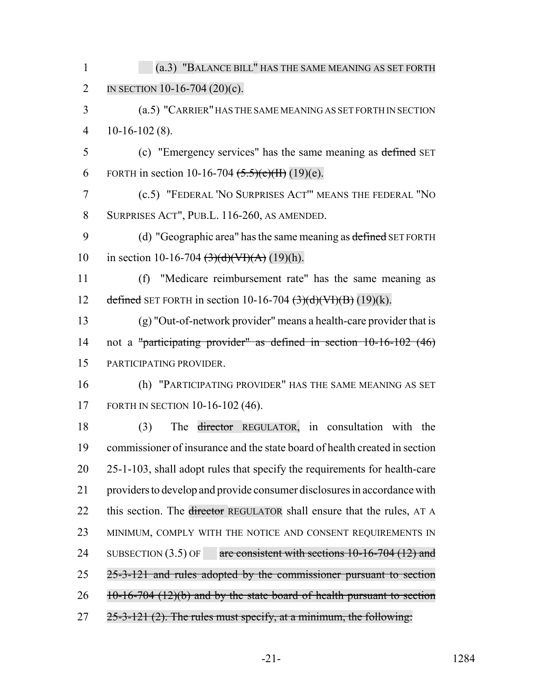| $\mathbf{1}$   | (a.3) "BALANCE BILL" HAS THE SAME MEANING AS SET FORTH                                             |
|----------------|----------------------------------------------------------------------------------------------------|
| $\overline{2}$ | IN SECTION 10-16-704 $(20)(c)$ .                                                                   |
| 3              | (a.5) "CARRIER" HAS THE SAME MEANING AS SET FORTH IN SECTION                                       |
| $\overline{4}$ | $10-16-102(8)$ .                                                                                   |
| 5              | (c) "Emergency services" has the same meaning as defined SET                                       |
| 6              | FORTH in section 10-16-704 $(5.5)(e)(H)(19)(e)$ .                                                  |
| $\tau$         | (c.5) "FEDERAL 'NO SURPRISES ACT'" MEANS THE FEDERAL "NO                                           |
| 8              | SURPRISES ACT", PUB.L. 116-260, AS AMENDED.                                                        |
| 9              | (d) "Geographic area" has the same meaning as defined SET FORTH                                    |
| 10             | in section 10-16-704 $\left(\frac{3}{d}\right)\left(\frac{H}{d} + H\right)$ (19)(h).               |
| 11             | "Medicare reimbursement rate" has the same meaning as<br>(f)                                       |
| 12             | defined SET FORTH in section 10-16-704 $\left(\frac{3}{d}\right)\left(\frac{d}{d}\right)$ (19)(k). |
| 13             | (g) "Out-of-network provider" means a health-care provider that is                                 |
| 14             | not a "participating provider" as defined in section $10-16-102$ (46)                              |
| 15             | PARTICIPATING PROVIDER.                                                                            |
| 16             | (h) "PARTICIPATING PROVIDER" HAS THE SAME MEANING AS SET                                           |
| 17             | FORTH IN SECTION 10-16-102 (46).                                                                   |
| 18             | The director REGULATOR, in consultation with the<br>(3)                                            |
| 19             | commissioner of insurance and the state board of health created in section                         |
| 20             | 25-1-103, shall adopt rules that specify the requirements for health-care                          |
| 21             | providers to develop and provide consumer disclosures in accordance with                           |
| 22             | this section. The director REGULATOR shall ensure that the rules, AT A                             |
| 23             | MINIMUM, COMPLY WITH THE NOTICE AND CONSENT REQUIREMENTS IN                                        |
| 24             | are consistent with sections $10-16-704$ (12) and<br>SUBSECTION $(3.5)$ OF                         |
| 25             | 25-3-121 and rules adopted by the commissioner pursuant to section                                 |
| 26             | $10-16-704$ (12)(b) and by the state board of health pursuant to section                           |
| 27             | $25-3-121$ (2). The rules must specify, at a minimum, the following:                               |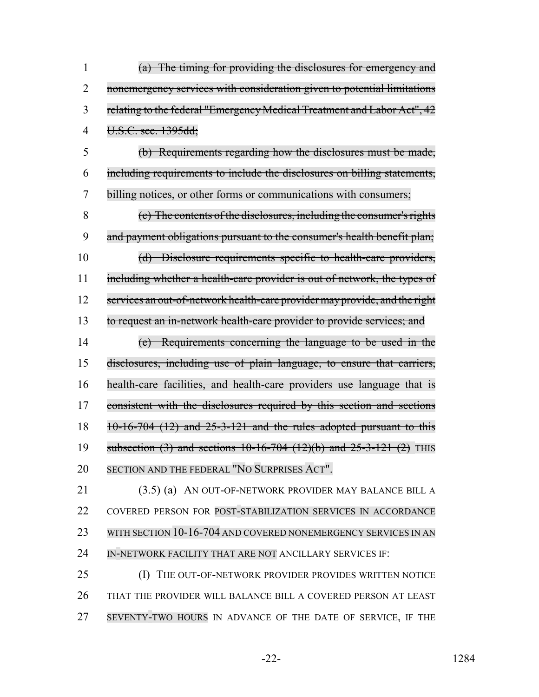(a) The timing for providing the disclosures for emergency and nonemergency services with consideration given to potential limitations 3 relating to the federal "Emergency Medical Treatment and Labor Act", 42 U.S.C. sec. 1395dd;

 (b) Requirements regarding how the disclosures must be made, including requirements to include the disclosures on billing statements, billing notices, or other forms or communications with consumers;

 (c) The contents of the disclosures, including the consumer's rights 9 and payment obligations pursuant to the consumer's health benefit plan; (d) Disclosure requirements specific to health-care providers, 11 including whether a health-care provider is out of network, the types of 12 services an out-of-network health-care provider may provide, and the right

to request an in-network health-care provider to provide services; and

 (e) Requirements concerning the language to be used in the disclosures, including use of plain language, to ensure that carriers, health-care facilities, and health-care providers use language that is 17 consistent with the disclosures required by this section and sections 10-16-704 (12) and  $25-3-121$  and the rules adopted pursuant to this 19 subsection (3) and sections 10-16-704 (12)(b) and 25-3-121 (2) THIS SECTION AND THE FEDERAL "NO SURPRISES ACT".

 (3.5) (a) AN OUT-OF-NETWORK PROVIDER MAY BALANCE BILL A 22 COVERED PERSON FOR POST-STABILIZATION SERVICES IN ACCORDANCE 23 WITH SECTION 10-16-704 AND COVERED NONEMERGENCY SERVICES IN AN 24 IN-NETWORK FACILITY THAT ARE NOT ANCILLARY SERVICES IF:

25 (I) THE OUT-OF-NETWORK PROVIDER PROVIDES WRITTEN NOTICE THAT THE PROVIDER WILL BALANCE BILL A COVERED PERSON AT LEAST SEVENTY-TWO HOURS IN ADVANCE OF THE DATE OF SERVICE, IF THE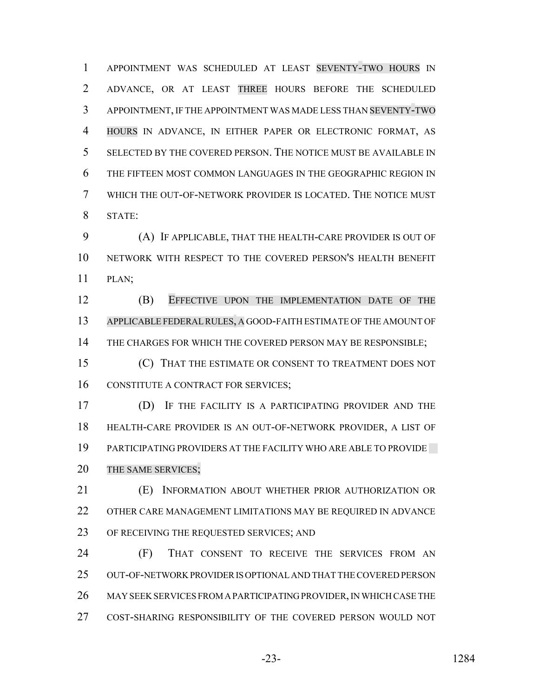APPOINTMENT WAS SCHEDULED AT LEAST SEVENTY-TWO HOURS IN ADVANCE, OR AT LEAST THREE HOURS BEFORE THE SCHEDULED APPOINTMENT, IF THE APPOINTMENT WAS MADE LESS THAN SEVENTY-TWO HOURS IN ADVANCE, IN EITHER PAPER OR ELECTRONIC FORMAT, AS SELECTED BY THE COVERED PERSON. THE NOTICE MUST BE AVAILABLE IN THE FIFTEEN MOST COMMON LANGUAGES IN THE GEOGRAPHIC REGION IN WHICH THE OUT-OF-NETWORK PROVIDER IS LOCATED. THE NOTICE MUST STATE:

 (A) IF APPLICABLE, THAT THE HEALTH-CARE PROVIDER IS OUT OF NETWORK WITH RESPECT TO THE COVERED PERSON'S HEALTH BENEFIT PLAN;

 (B) EFFECTIVE UPON THE IMPLEMENTATION DATE OF THE APPLICABLE FEDERALRULES, A GOOD-FAITH ESTIMATE OF THE AMOUNT OF 14 THE CHARGES FOR WHICH THE COVERED PERSON MAY BE RESPONSIBLE;

 (C) THAT THE ESTIMATE OR CONSENT TO TREATMENT DOES NOT 16 CONSTITUTE A CONTRACT FOR SERVICES;

 (D) IF THE FACILITY IS A PARTICIPATING PROVIDER AND THE HEALTH-CARE PROVIDER IS AN OUT-OF-NETWORK PROVIDER, A LIST OF PARTICIPATING PROVIDERS AT THE FACILITY WHO ARE ABLE TO PROVIDE THE SAME SERVICES;

 (E) INFORMATION ABOUT WHETHER PRIOR AUTHORIZATION OR OTHER CARE MANAGEMENT LIMITATIONS MAY BE REQUIRED IN ADVANCE 23 OF RECEIVING THE REQUESTED SERVICES; AND

 (F) THAT CONSENT TO RECEIVE THE SERVICES FROM AN OUT-OF-NETWORK PROVIDER IS OPTIONAL AND THAT THE COVERED PERSON MAY SEEK SERVICES FROM A PARTICIPATING PROVIDER, IN WHICH CASE THE COST-SHARING RESPONSIBILITY OF THE COVERED PERSON WOULD NOT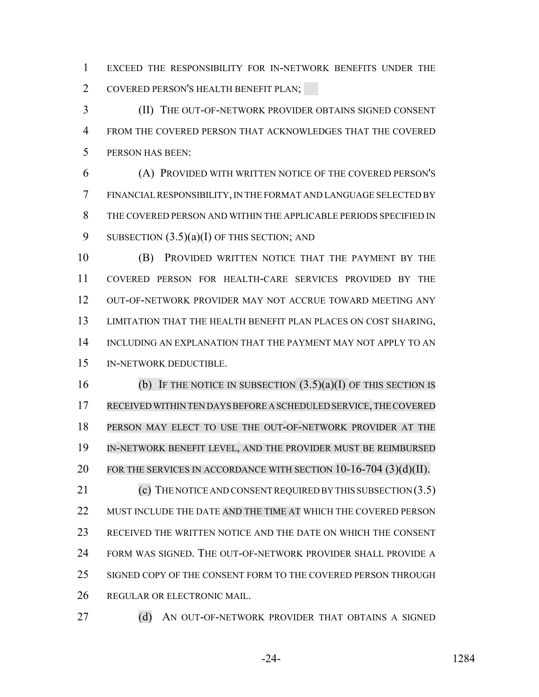EXCEED THE RESPONSIBILITY FOR IN-NETWORK BENEFITS UNDER THE COVERED PERSON'S HEALTH BENEFIT PLAN;

 (II) THE OUT-OF-NETWORK PROVIDER OBTAINS SIGNED CONSENT FROM THE COVERED PERSON THAT ACKNOWLEDGES THAT THE COVERED PERSON HAS BEEN:

 (A) PROVIDED WITH WRITTEN NOTICE OF THE COVERED PERSON'S FINANCIAL RESPONSIBILITY, IN THE FORMAT AND LANGUAGE SELECTED BY THE COVERED PERSON AND WITHIN THE APPLICABLE PERIODS SPECIFIED IN 9 SUBSECTION  $(3.5)(a)(I)$  OF THIS SECTION; AND

 (B) PROVIDED WRITTEN NOTICE THAT THE PAYMENT BY THE COVERED PERSON FOR HEALTH-CARE SERVICES PROVIDED BY THE OUT-OF-NETWORK PROVIDER MAY NOT ACCRUE TOWARD MEETING ANY LIMITATION THAT THE HEALTH BENEFIT PLAN PLACES ON COST SHARING, INCLUDING AN EXPLANATION THAT THE PAYMENT MAY NOT APPLY TO AN IN-NETWORK DEDUCTIBLE.

16 (b) IF THE NOTICE IN SUBSECTION  $(3.5)(a)(I)$  OF THIS SECTION IS RECEIVEDWITHIN TEN DAYS BEFORE A SCHEDULED SERVICE,THECOVERED PERSON MAY ELECT TO USE THE OUT-OF-NETWORK PROVIDER AT THE IN-NETWORK BENEFIT LEVEL, AND THE PROVIDER MUST BE REIMBURSED 20 FOR THE SERVICES IN ACCORDANCE WITH SECTION  $10-16-704$  (3)(d)(II). 21 (c) THE NOTICE AND CONSENT REQUIRED BY THIS SUBSECTION (3.5) MUST INCLUDE THE DATE AND THE TIME AT WHICH THE COVERED PERSON RECEIVED THE WRITTEN NOTICE AND THE DATE ON WHICH THE CONSENT

 FORM WAS SIGNED. THE OUT-OF-NETWORK PROVIDER SHALL PROVIDE A SIGNED COPY OF THE CONSENT FORM TO THE COVERED PERSON THROUGH

REGULAR OR ELECTRONIC MAIL.

27 (d) AN OUT-OF-NETWORK PROVIDER THAT OBTAINS A SIGNED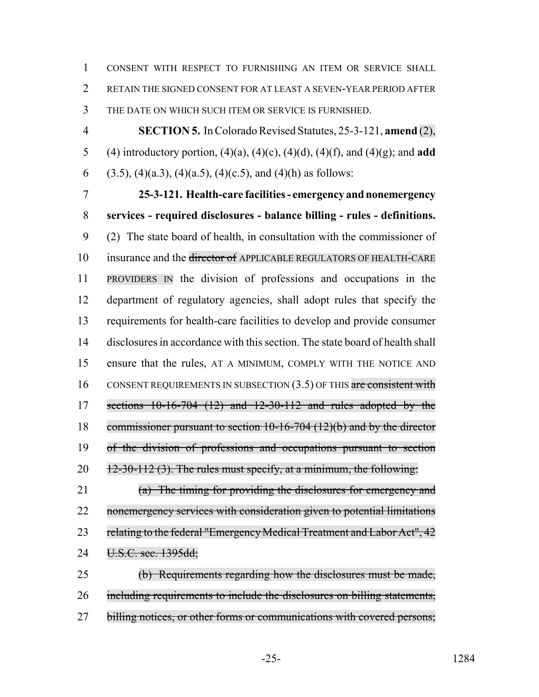CONSENT WITH RESPECT TO FURNISHING AN ITEM OR SERVICE SHALL RETAIN THE SIGNED CONSENT FOR AT LEAST A SEVEN-YEAR PERIOD AFTER THE DATE ON WHICH SUCH ITEM OR SERVICE IS FURNISHED.

 **SECTION 5.** In Colorado Revised Statutes, 25-3-121, **amend** (2), (4) introductory portion, (4)(a), (4)(c), (4)(d), (4)(f), and (4)(g); and **add** 6 (3.5), (4)(a.3), (4)(a.5), (4)(c.5), and (4)(h) as follows:

 **25-3-121. Health-care facilities - emergency and nonemergency services - required disclosures - balance billing - rules - definitions.** (2) The state board of health, in consultation with the commissioner of 10 insurance and the <del>director of</del> APPLICABLE REGULATORS OF HEALTH-CARE PROVIDERS IN the division of professions and occupations in the department of regulatory agencies, shall adopt rules that specify the requirements for health-care facilities to develop and provide consumer disclosures in accordance with this section. The state board of health shall ensure that the rules, AT A MINIMUM, COMPLY WITH THE NOTICE AND 16 CONSENT REQUIREMENTS IN SUBSECTION  $(3.5)$  OF THIS are consistent with sections 10-16-704 (12) and 12-30-112 and rules adopted by the commissioner pursuant to section 10-16-704 (12)(b) and by the director of the division of professions and occupations pursuant to section  $12-30-112$  (3). The rules must specify, at a minimum, the following:

 (a) The timing for providing the disclosures for emergency and 22 nonemergency services with consideration given to potential limitations 23 relating to the federal "Emergency Medical Treatment and Labor Act", 42 24 U.S.C. sec. 1395dd;

 (b) Requirements regarding how the disclosures must be made, including requirements to include the disclosures on billing statements, 27 billing notices, or other forms or communications with covered persons;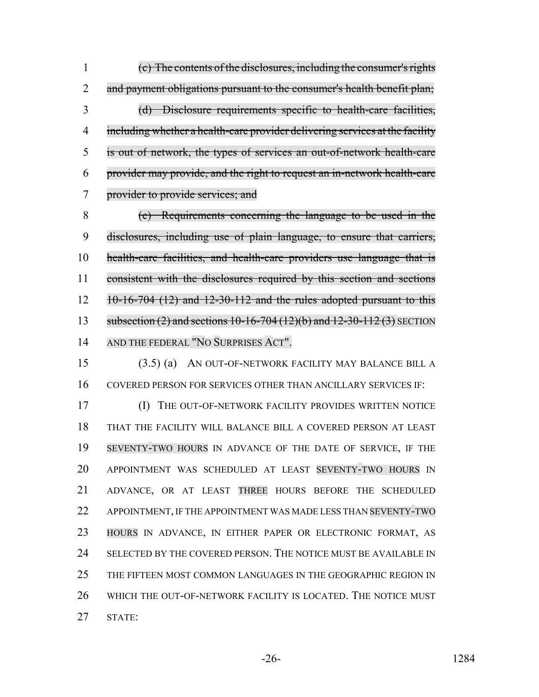(c) The contents of the disclosures, including the consumer's rights 2 and payment obligations pursuant to the consumer's health benefit plan; (d) Disclosure requirements specific to health-care facilities, including whether a health-care provider delivering services at the facility is out of network, the types of services an out-of-network health-care provider may provide, and the right to request an in-network health-care provider to provide services; and

 (e) Requirements concerning the language to be used in the disclosures, including use of plain language, to ensure that carriers, health-care facilities, and health-care providers use language that is consistent with the disclosures required by this section and sections 10-16-704 (12) and 12-30-112 and the rules adopted pursuant to this 13 subsection (2) and sections 10-16-704 (12)(b) and 12-30-112 (3) SECTION AND THE FEDERAL "NO SURPRISES ACT".

 (3.5) (a) AN OUT-OF-NETWORK FACILITY MAY BALANCE BILL A COVERED PERSON FOR SERVICES OTHER THAN ANCILLARY SERVICES IF:

 (I) THE OUT-OF-NETWORK FACILITY PROVIDES WRITTEN NOTICE THAT THE FACILITY WILL BALANCE BILL A COVERED PERSON AT LEAST SEVENTY-TWO HOURS IN ADVANCE OF THE DATE OF SERVICE, IF THE APPOINTMENT WAS SCHEDULED AT LEAST SEVENTY-TWO HOURS IN ADVANCE, OR AT LEAST THREE HOURS BEFORE THE SCHEDULED APPOINTMENT, IF THE APPOINTMENT WAS MADE LESS THAN SEVENTY-TWO HOURS IN ADVANCE, IN EITHER PAPER OR ELECTRONIC FORMAT, AS SELECTED BY THE COVERED PERSON. THE NOTICE MUST BE AVAILABLE IN THE FIFTEEN MOST COMMON LANGUAGES IN THE GEOGRAPHIC REGION IN WHICH THE OUT-OF-NETWORK FACILITY IS LOCATED. THE NOTICE MUST STATE: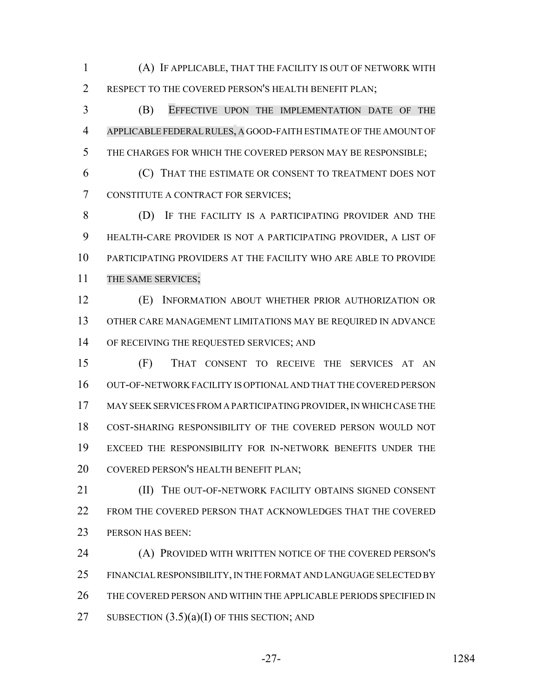(A) IF APPLICABLE, THAT THE FACILITY IS OUT OF NETWORK WITH 2 RESPECT TO THE COVERED PERSON'S HEALTH BENEFIT PLAN;

 (B) EFFECTIVE UPON THE IMPLEMENTATION DATE OF THE APPLICABLE FEDERALRULES, A GOOD-FAITH ESTIMATE OF THE AMOUNT OF THE CHARGES FOR WHICH THE COVERED PERSON MAY BE RESPONSIBLE;

 (C) THAT THE ESTIMATE OR CONSENT TO TREATMENT DOES NOT CONSTITUTE A CONTRACT FOR SERVICES;

 (D) IF THE FACILITY IS A PARTICIPATING PROVIDER AND THE HEALTH-CARE PROVIDER IS NOT A PARTICIPATING PROVIDER, A LIST OF PARTICIPATING PROVIDERS AT THE FACILITY WHO ARE ABLE TO PROVIDE 11 THE SAME SERVICES;

 (E) INFORMATION ABOUT WHETHER PRIOR AUTHORIZATION OR OTHER CARE MANAGEMENT LIMITATIONS MAY BE REQUIRED IN ADVANCE 14 OF RECEIVING THE REQUESTED SERVICES; AND

 (F) THAT CONSENT TO RECEIVE THE SERVICES AT AN OUT-OF-NETWORK FACILITY IS OPTIONAL AND THAT THE COVERED PERSON MAY SEEK SERVICES FROM A PARTICIPATING PROVIDER, IN WHICH CASE THE COST-SHARING RESPONSIBILITY OF THE COVERED PERSON WOULD NOT EXCEED THE RESPONSIBILITY FOR IN-NETWORK BENEFITS UNDER THE COVERED PERSON'S HEALTH BENEFIT PLAN;

**III)** THE OUT-OF-NETWORK FACILITY OBTAINS SIGNED CONSENT FROM THE COVERED PERSON THAT ACKNOWLEDGES THAT THE COVERED 23 PERSON HAS BEEN:

 (A) PROVIDED WITH WRITTEN NOTICE OF THE COVERED PERSON'S FINANCIAL RESPONSIBILITY, IN THE FORMAT AND LANGUAGE SELECTED BY 26 THE COVERED PERSON AND WITHIN THE APPLICABLE PERIODS SPECIFIED IN 27 SUBSECTION  $(3.5)(a)(I)$  OF THIS SECTION; AND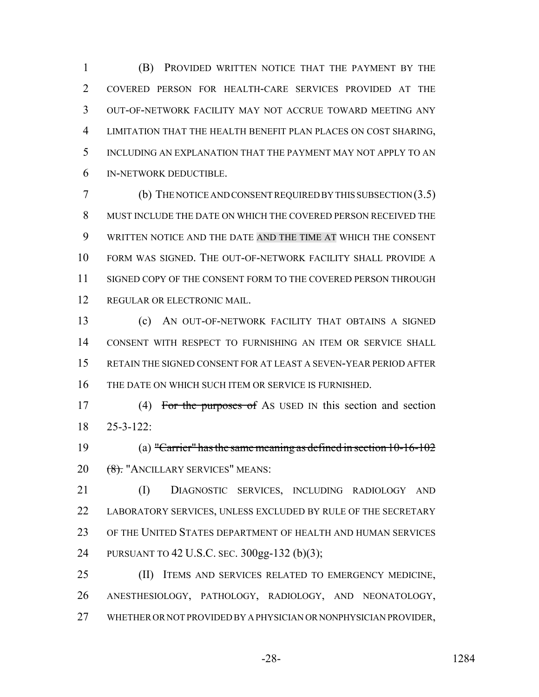(B) PROVIDED WRITTEN NOTICE THAT THE PAYMENT BY THE COVERED PERSON FOR HEALTH-CARE SERVICES PROVIDED AT THE OUT-OF-NETWORK FACILITY MAY NOT ACCRUE TOWARD MEETING ANY LIMITATION THAT THE HEALTH BENEFIT PLAN PLACES ON COST SHARING, INCLUDING AN EXPLANATION THAT THE PAYMENT MAY NOT APPLY TO AN IN-NETWORK DEDUCTIBLE.

 (b) THE NOTICE AND CONSENT REQUIRED BY THIS SUBSECTION (3.5) MUST INCLUDE THE DATE ON WHICH THE COVERED PERSON RECEIVED THE WRITTEN NOTICE AND THE DATE AND THE TIME AT WHICH THE CONSENT FORM WAS SIGNED. THE OUT-OF-NETWORK FACILITY SHALL PROVIDE A SIGNED COPY OF THE CONSENT FORM TO THE COVERED PERSON THROUGH REGULAR OR ELECTRONIC MAIL.

 (c) AN OUT-OF-NETWORK FACILITY THAT OBTAINS A SIGNED CONSENT WITH RESPECT TO FURNISHING AN ITEM OR SERVICE SHALL RETAIN THE SIGNED CONSENT FOR AT LEAST A SEVEN-YEAR PERIOD AFTER THE DATE ON WHICH SUCH ITEM OR SERVICE IS FURNISHED.

17 (4) For the purposes of As USED IN this section and section 25-3-122:

 (a) "Carrier" has the same meaning as defined in section 10-16-102 20 <del>(8).</del> "ANCILLARY SERVICES" MEANS:

 (I) DIAGNOSTIC SERVICES, INCLUDING RADIOLOGY AND LABORATORY SERVICES, UNLESS EXCLUDED BY RULE OF THE SECRETARY OF THE UNITED STATES DEPARTMENT OF HEALTH AND HUMAN SERVICES PURSUANT TO 42 U.S.C. SEC. 300gg-132 (b)(3);

 (II) ITEMS AND SERVICES RELATED TO EMERGENCY MEDICINE, ANESTHESIOLOGY, PATHOLOGY, RADIOLOGY, AND NEONATOLOGY, WHETHER OR NOT PROVIDED BY A PHYSICIAN OR NONPHYSICIAN PROVIDER,

$$
-28
$$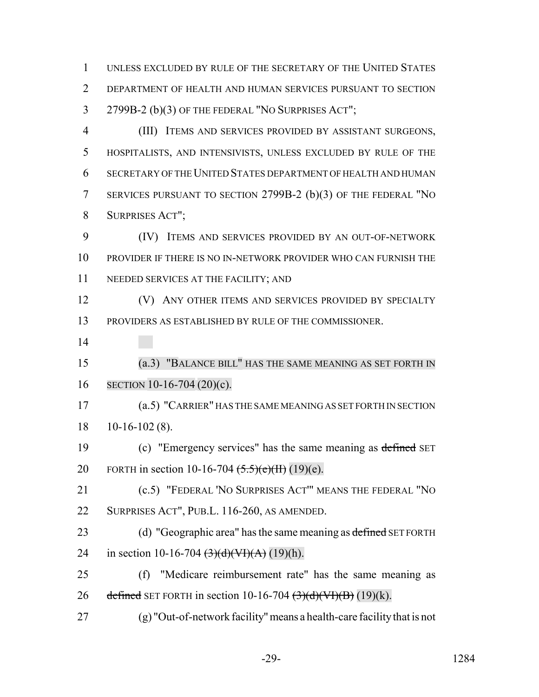UNLESS EXCLUDED BY RULE OF THE SECRETARY OF THE UNITED STATES DEPARTMENT OF HEALTH AND HUMAN SERVICES PURSUANT TO SECTION 2799B-2 (b)(3) OF THE FEDERAL "NO SURPRISES ACT";

 (III) ITEMS AND SERVICES PROVIDED BY ASSISTANT SURGEONS, HOSPITALISTS, AND INTENSIVISTS, UNLESS EXCLUDED BY RULE OF THE SECRETARY OF THE UNITED STATES DEPARTMENT OF HEALTH AND HUMAN SERVICES PURSUANT TO SECTION 2799B-2 (b)(3) OF THE FEDERAL "NO SURPRISES ACT";

 (IV) ITEMS AND SERVICES PROVIDED BY AN OUT-OF-NETWORK PROVIDER IF THERE IS NO IN-NETWORK PROVIDER WHO CAN FURNISH THE NEEDED SERVICES AT THE FACILITY; AND

**(V)** ANY OTHER ITEMS AND SERVICES PROVIDED BY SPECIALTY PROVIDERS AS ESTABLISHED BY RULE OF THE COMMISSIONER.

 (a.3) "BALANCE BILL" HAS THE SAME MEANING AS SET FORTH IN SECTION 10-16-704 (20)(c).

 (a.5) "CARRIER" HAS THE SAME MEANING AS SET FORTH IN SECTION 10-16-102 (8).

19 (c) "Emergency services" has the same meaning as defined SET 20 FORTH in section 10-16-704  $(5.5)(e)(H)(19)(e)$ .

 (c.5) "FEDERAL 'NO SURPRISES ACT'" MEANS THE FEDERAL "NO SURPRISES ACT", PUB.L. 116-260, AS AMENDED.

23 (d) "Geographic area" has the same meaning as defined SET FORTH 24 in section 10-16-704  $\left(\frac{3}{d}\right)$   $\left(\frac{V}{d}\right)$   $\left(\frac{A}{d}\right)$   $(19)(h)$ .

 (f) "Medicare reimbursement rate" has the same meaning as 26 defined SET FORTH in section  $10-16-704 \left(\frac{3}{d}\right)\left(\frac{dV}{f}\right)(B)(k)$ .

(g) "Out-of-network facility" means a health-care facility that is not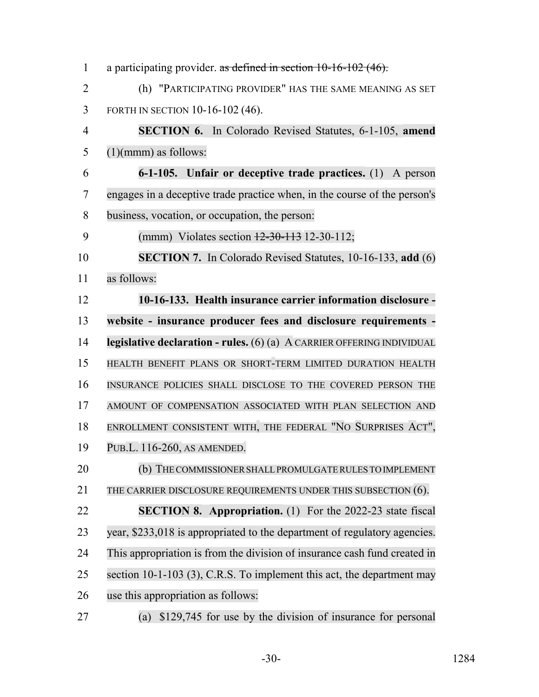| $\mathbf{1}$   | a participating provider. as defined in section $10-16-102$ (46).         |
|----------------|---------------------------------------------------------------------------|
| $\overline{2}$ | (h) "PARTICIPATING PROVIDER" HAS THE SAME MEANING AS SET                  |
| 3              | FORTH IN SECTION 10-16-102 (46).                                          |
| 4              | <b>SECTION 6.</b> In Colorado Revised Statutes, 6-1-105, amend            |
| 5              | $(1)(mmm)$ as follows:                                                    |
| 6              | 6-1-105. Unfair or deceptive trade practices. (1) A person                |
| 7              | engages in a deceptive trade practice when, in the course of the person's |
| 8              | business, vocation, or occupation, the person:                            |
| 9              | (mmm) Violates section $\frac{12-30-113}{2}$ 12-30-112;                   |
| 10             | <b>SECTION 7.</b> In Colorado Revised Statutes, 10-16-133, add (6)        |
| 11             | as follows:                                                               |
| 12             | 10-16-133. Health insurance carrier information disclosure -              |
| 13             | website - insurance producer fees and disclosure requirements -           |
| 14             | legislative declaration - rules. $(6)$ (a) A CARRIER OFFERING INDIVIDUAL  |
| 15             | HEALTH BENEFIT PLANS OR SHORT-TERM LIMITED DURATION HEALTH                |
| 16             | INSURANCE POLICIES SHALL DISCLOSE TO THE COVERED PERSON THE               |
| 17             | AMOUNT OF COMPENSATION ASSOCIATED WITH PLAN SELECTION AND                 |
| 18             | ENROLLMENT CONSISTENT WITH, THE FEDERAL "NO SURPRISES ACT",               |
| 19             | PUB.L. 116-260, AS AMENDED.                                               |
| 20             | (b) THE COMMISSIONER SHALL PROMULGATE RULES TO IMPLEMENT                  |
| 21             | THE CARRIER DISCLOSURE REQUIREMENTS UNDER THIS SUBSECTION (6).            |
| 22             | <b>SECTION 8. Appropriation.</b> (1) For the 2022-23 state fiscal         |
| 23             | year, \$233,018 is appropriated to the department of regulatory agencies. |
| 24             | This appropriation is from the division of insurance cash fund created in |
| 25             | section 10-1-103 (3), C.R.S. To implement this act, the department may    |
| 26             | use this appropriation as follows:                                        |
| 27             | \$129,745 for use by the division of insurance for personal<br>(a)        |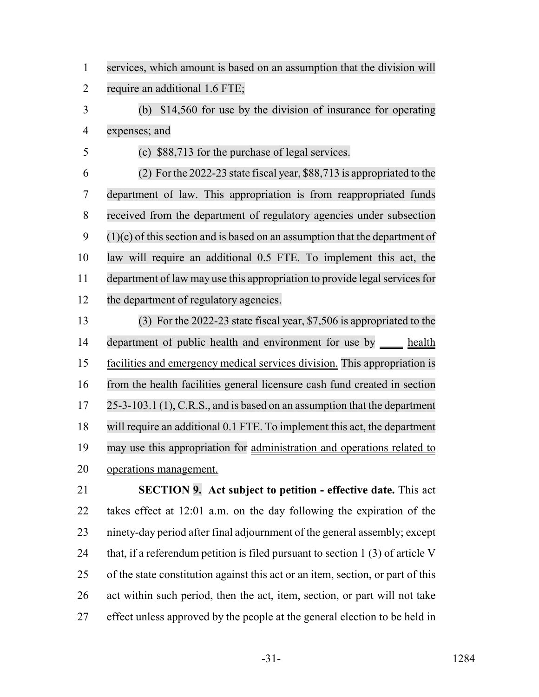services, which amount is based on an assumption that the division will require an additional 1.6 FTE;

 (b) \$14,560 for use by the division of insurance for operating expenses; and

(c) \$88,713 for the purchase of legal services.

 (2) For the 2022-23 state fiscal year, \$88,713 is appropriated to the department of law. This appropriation is from reappropriated funds received from the department of regulatory agencies under subsection  $9 \quad (1)(c)$  of this section and is based on an assumption that the department of law will require an additional 0.5 FTE. To implement this act, the 11 department of law may use this appropriation to provide legal services for the department of regulatory agencies.

 (3) For the 2022-23 state fiscal year, \$7,506 is appropriated to the 14 department of public health and environment for use by health facilities and emergency medical services division. This appropriation is from the health facilities general licensure cash fund created in section 25-3-103.1 (1), C.R.S., and is based on an assumption that the department will require an additional 0.1 FTE. To implement this act, the department may use this appropriation for administration and operations related to operations management.

 **SECTION 9. Act subject to petition - effective date.** This act takes effect at 12:01 a.m. on the day following the expiration of the ninety-day period after final adjournment of the general assembly; except 24 that, if a referendum petition is filed pursuant to section  $1(3)$  of article V of the state constitution against this act or an item, section, or part of this act within such period, then the act, item, section, or part will not take effect unless approved by the people at the general election to be held in